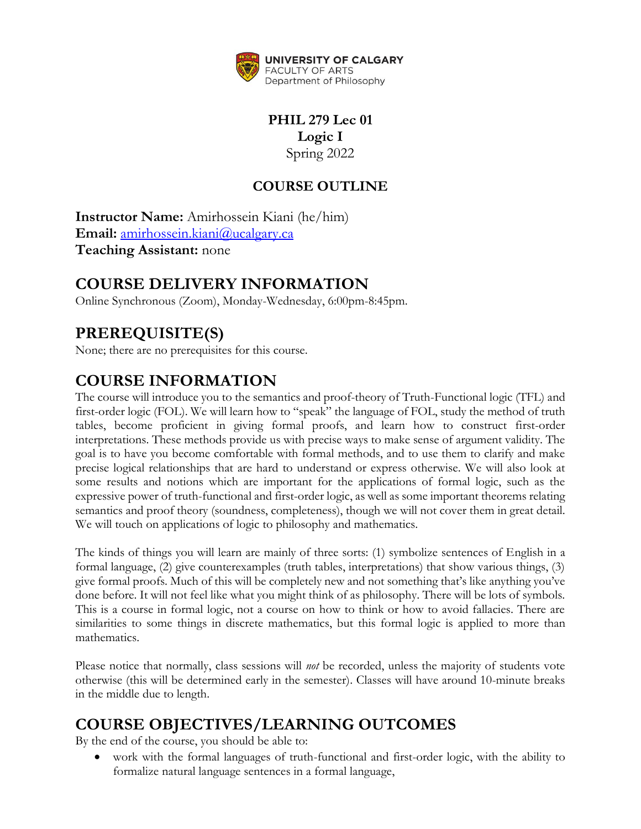

**PHIL 279 Lec 01 Logic I** Spring 2022

## **COURSE OUTLINE**

**Instructor Name:** Amirhossein Kiani (he/him) **Email:** [amirhossein.kiani@ucalgary.ca](file:///C:/Users/mathe/AppData/Local/Temp/Temp1_Spring_and_Summer_Course_Outlines.zip/amirhossein.kiani@ucalgary.ca) **Teaching Assistant:** none

# **COURSE DELIVERY INFORMATION**

Online Synchronous (Zoom), Monday-Wednesday, 6:00pm-8:45pm.

# **PREREQUISITE(S)**

None; there are no prerequisites for this course.

# **COURSE INFORMATION**

The course will introduce you to the semantics and proof-theory of Truth-Functional logic (TFL) and first-order logic (FOL). We will learn how to "speak" the language of FOL, study the method of truth tables, become proficient in giving formal proofs, and learn how to construct first-order interpretations. These methods provide us with precise ways to make sense of argument validity. The goal is to have you become comfortable with formal methods, and to use them to clarify and make precise logical relationships that are hard to understand or express otherwise. We will also look at some results and notions which are important for the applications of formal logic, such as the expressive power of truth-functional and first-order logic, as well as some important theorems relating semantics and proof theory (soundness, completeness), though we will not cover them in great detail. We will touch on applications of logic to philosophy and mathematics.

The kinds of things you will learn are mainly of three sorts: (1) symbolize sentences of English in a formal language, (2) give counterexamples (truth tables, interpretations) that show various things, (3) give formal proofs. Much of this will be completely new and not something that's like anything you've done before. It will not feel like what you might think of as philosophy. There will be lots of symbols. This is a course in formal logic, not a course on how to think or how to avoid fallacies. There are similarities to some things in discrete mathematics, but this formal logic is applied to more than mathematics.

Please notice that normally, class sessions will *not* be recorded, unless the majority of students vote otherwise (this will be determined early in the semester). Classes will have around 10-minute breaks in the middle due to length.

# **COURSE OBJECTIVES/LEARNING OUTCOMES**

By the end of the course, you should be able to:

 work with the formal languages of truth-functional and first-order logic, with the ability to formalize natural language sentences in a formal language,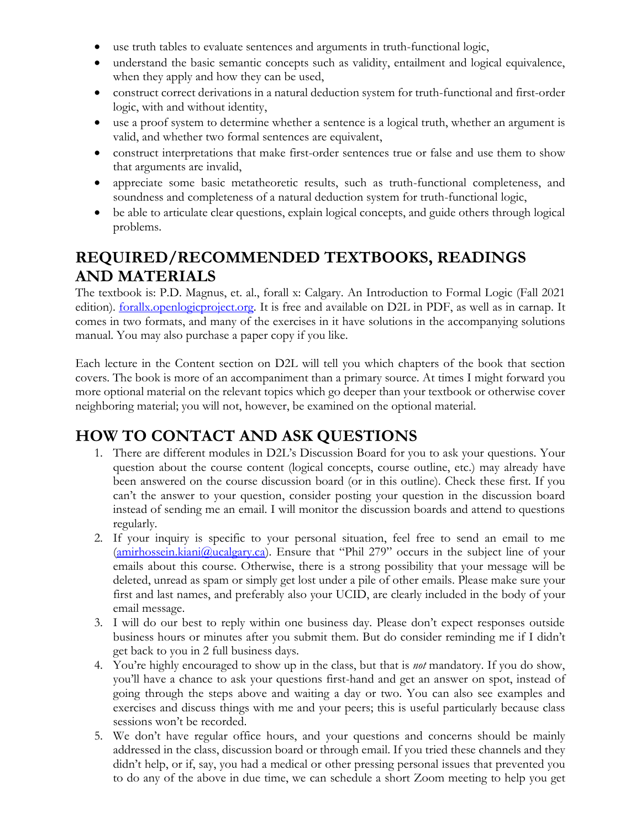- use truth tables to evaluate sentences and arguments in truth-functional logic,
- understand the basic semantic concepts such as validity, entailment and logical equivalence, when they apply and how they can be used,
- construct correct derivations in a natural deduction system for truth-functional and first-order logic, with and without identity,
- use a proof system to determine whether a sentence is a logical truth, whether an argument is valid, and whether two formal sentences are equivalent,
- construct interpretations that make first-order sentences true or false and use them to show that arguments are invalid,
- appreciate some basic metatheoretic results, such as truth-functional completeness, and soundness and completeness of a natural deduction system for truth-functional logic,
- be able to articulate clear questions, explain logical concepts, and guide others through logical problems.

# **REQUIRED/RECOMMENDED TEXTBOOKS, READINGS AND MATERIALS**

The textbook is: P.D. Magnus, et. al., forall x: Calgary. An Introduction to Formal Logic (Fall 2021 edition). **forallx.openlogicproject.org**. It is free and available on D2L in PDF, as well as in carnap. It comes in two formats, and many of the exercises in it have solutions in the accompanying solutions manual. You may also purchase a paper copy if you like.

Each lecture in the Content section on D2L will tell you which chapters of the book that section covers. The book is more of an accompaniment than a primary source. At times I might forward you more optional material on the relevant topics which go deeper than your textbook or otherwise cover neighboring material; you will not, however, be examined on the optional material.

# **HOW TO CONTACT AND ASK QUESTIONS**

- 1. There are different modules in D2L's Discussion Board for you to ask your questions. Your question about the course content (logical concepts, course outline, etc.) may already have been answered on the course discussion board (or in this outline). Check these first. If you can't the answer to your question, consider posting your question in the discussion board instead of sending me an email. I will monitor the discussion boards and attend to questions regularly.
- 2. If your inquiry is specific to your personal situation, feel free to send an email to me [\(amirhossein.kiani@ucalgary.ca\)](file:///C:/Users/mathe/AppData/Local/Temp/Temp1_Spring_and_Summer_Course_Outlines.zip/amirhossein.kiani@ucalgary.ca). Ensure that "Phil 279" occurs in the subject line of your emails about this course. Otherwise, there is a strong possibility that your message will be deleted, unread as spam or simply get lost under a pile of other emails. Please make sure your first and last names, and preferably also your UCID, are clearly included in the body of your email message.
- 3. I will do our best to reply within one business day. Please don't expect responses outside business hours or minutes after you submit them. But do consider reminding me if I didn't get back to you in 2 full business days.
- 4. You're highly encouraged to show up in the class, but that is *not* mandatory. If you do show, you'll have a chance to ask your questions first-hand and get an answer on spot, instead of going through the steps above and waiting a day or two. You can also see examples and exercises and discuss things with me and your peers; this is useful particularly because class sessions won't be recorded.
- 5. We don't have regular office hours, and your questions and concerns should be mainly addressed in the class, discussion board or through email. If you tried these channels and they didn't help, or if, say, you had a medical or other pressing personal issues that prevented you to do any of the above in due time, we can schedule a short Zoom meeting to help you get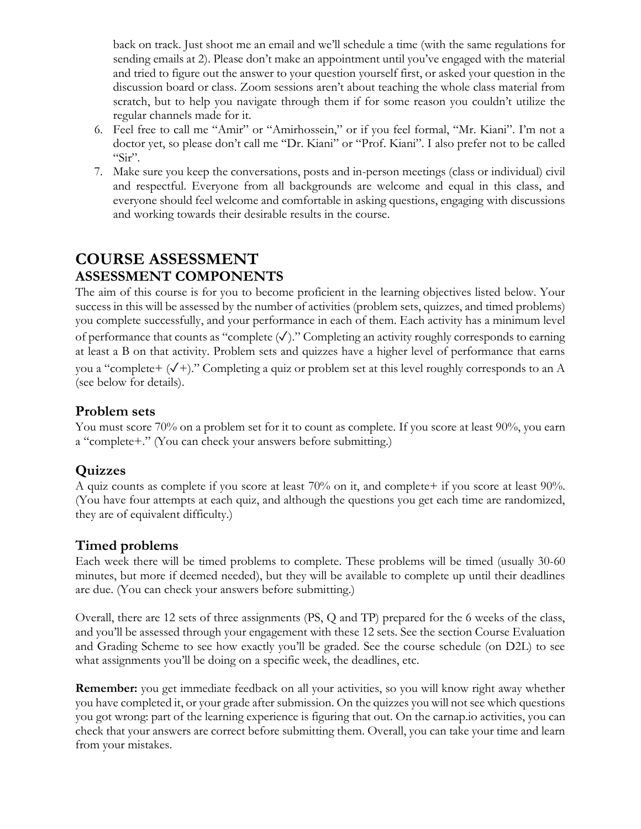back on track. Just shoot me an email and we'll schedule a time (with the same regulations for sending emails at 2). Please don't make an appointment until you've engaged with the material and tried to figure out the answer to your question yourself first, or asked your question in the discussion board or class. Zoom sessions aren't about teaching the whole class material from scratch, but to help you navigate through them if for some reason you couldn't utilize the regular channels made for it.

- 6. Feel free to call me "Amir" or "Amirhossein," or if you feel formal, "Mr. Kiani". I'm not a doctor yet, so please don't call me "Dr. Kiani" or "Prof. Kiani". I also prefer not to be called " $\operatorname{Sir}$ ".
- 7. Make sure you keep the conversations, posts and in-person meetings (class or individual) civil and respectful. Everyone from all backgrounds are welcome and equal in this class, and everyone should feel welcome and comfortable in asking questions, engaging with discussions and working towards their desirable results in the course.

## **COURSE ASSESSMENT ASSESSMENT COMPONENTS**

The aim of this course is for you to become proficient in the learning objectives listed below. Your success in this will be assessed by the number of activities (problem sets, quizzes, and timed problems) you complete successfully, and your performance in each of them. Each activity has a minimum level of performance that counts as "complete  $(\checkmark)$ ." Completing an activity roughly corresponds to earning at least a B on that activity. Problem sets and quizzes have a higher level of performance that earns you a "complete+  $(\sqrt{+})$ ." Completing a quiz or problem set at this level roughly corresponds to an A (see below for details).

#### **Problem sets**

You must score 70% on a problem set for it to count as complete. If you score at least 90%, you earn a "complete+." (You can check your answers before submitting.)

### **Quizzes**

A quiz counts as complete if you score at least 70% on it, and complete+ if you score at least 90%. (You have four attempts at each quiz, and although the questions you get each time are randomized, they are of equivalent difficulty.)

### **Timed problems**

Each week there will be timed problems to complete. These problems will be timed (usually 30-60 minutes, but more if deemed needed), but they will be available to complete up until their deadlines are due. (You can check your answers before submitting.)

Overall, there are 12 sets of three assignments (PS, Q and TP) prepared for the 6 weeks of the class, and you'll be assessed through your engagement with these 12 sets. See the section Course Evaluation and Grading Scheme to see how exactly you'll be graded. See the course schedule (on D2L) to see what assignments you'll be doing on a specific week, the deadlines, etc.

**Remember:** you get immediate feedback on all your activities, so you will know right away whether you have completed it, or your grade after submission. On the quizzes you will not see which questions you got wrong: part of the learning experience is figuring that out. On the carnap.io activities, you can check that your answers are correct before submitting them. Overall, you can take your time and learn from your mistakes.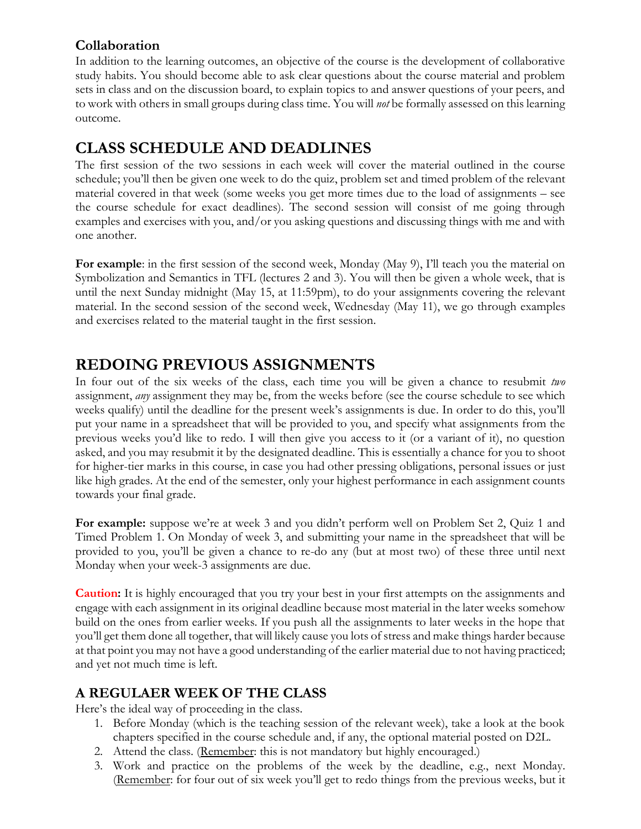### **Collaboration**

In addition to the learning outcomes, an objective of the course is the development of collaborative study habits. You should become able to ask clear questions about the course material and problem sets in class and on the discussion board, to explain topics to and answer questions of your peers, and to work with others in small groups during class time. You will *not* be formally assessed on this learning outcome.

## **CLASS SCHEDULE AND DEADLINES**

The first session of the two sessions in each week will cover the material outlined in the course schedule; you'll then be given one week to do the quiz, problem set and timed problem of the relevant material covered in that week (some weeks you get more times due to the load of assignments – see the course schedule for exact deadlines). The second session will consist of me going through examples and exercises with you, and/or you asking questions and discussing things with me and with one another.

**For example**: in the first session of the second week, Monday (May 9), I'll teach you the material on Symbolization and Semantics in TFL (lectures 2 and 3). You will then be given a whole week, that is until the next Sunday midnight (May 15, at 11:59pm), to do your assignments covering the relevant material. In the second session of the second week, Wednesday (May 11), we go through examples and exercises related to the material taught in the first session.

## **REDOING PREVIOUS ASSIGNMENTS**

In four out of the six weeks of the class, each time you will be given a chance to resubmit *two* assignment, *any* assignment they may be, from the weeks before (see the course schedule to see which weeks qualify) until the deadline for the present week's assignments is due. In order to do this, you'll put your name in a spreadsheet that will be provided to you, and specify what assignments from the previous weeks you'd like to redo. I will then give you access to it (or a variant of it), no question asked, and you may resubmit it by the designated deadline. This is essentially a chance for you to shoot for higher-tier marks in this course, in case you had other pressing obligations, personal issues or just like high grades. At the end of the semester, only your highest performance in each assignment counts towards your final grade.

**For example:** suppose we're at week 3 and you didn't perform well on Problem Set 2, Quiz 1 and Timed Problem 1. On Monday of week 3, and submitting your name in the spreadsheet that will be provided to you, you'll be given a chance to re-do any (but at most two) of these three until next Monday when your week-3 assignments are due.

**Caution:** It is highly encouraged that you try your best in your first attempts on the assignments and engage with each assignment in its original deadline because most material in the later weeks somehow build on the ones from earlier weeks. If you push all the assignments to later weeks in the hope that you'll get them done all together, that will likely cause you lots of stress and make things harder because at that point you may not have a good understanding of the earlier material due to not having practiced; and yet not much time is left.

### **A REGULAER WEEK OF THE CLASS**

Here's the ideal way of proceeding in the class.

- 1. Before Monday (which is the teaching session of the relevant week), take a look at the book chapters specified in the course schedule and, if any, the optional material posted on D2L.
- 2. Attend the class. (Remember: this is not mandatory but highly encouraged.)
- 3. Work and practice on the problems of the week by the deadline, e.g., next Monday. (Remember: for four out of six week you'll get to redo things from the previous weeks, but it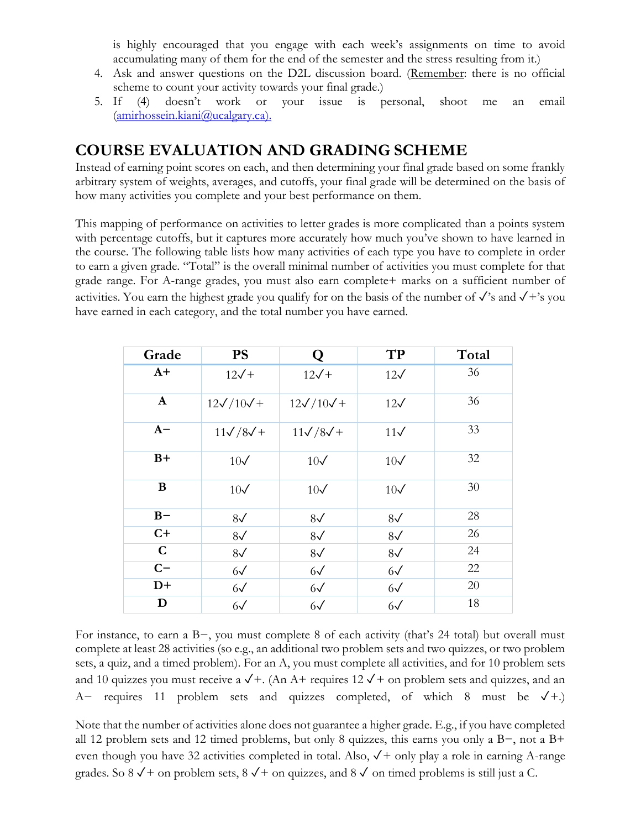is highly encouraged that you engage with each week's assignments on time to avoid accumulating many of them for the end of the semester and the stress resulting from it.)

- 4. Ask and answer questions on the D2L discussion board. (Remember: there is no official scheme to count your activity towards your final grade.)
- 5. If (4) doesn't work or your issue is personal, shoot me an email [\(amirhossein.kiani@ucalgary.ca\)](file:///C:/Users/mathe/AppData/Local/Temp/Temp1_Spring_and_Summer_Course_Outlines.zip/amirhossein.kiani@ucalgary.ca).

## **COURSE EVALUATION AND GRADING SCHEME**

Instead of earning point scores on each, and then determining your final grade based on some frankly arbitrary system of weights, averages, and cutoffs, your final grade will be determined on the basis of how many activities you complete and your best performance on them.

This mapping of performance on activities to letter grades is more complicated than a points system with percentage cutoffs, but it captures more accurately how much you've shown to have learned in the course. The following table lists how many activities of each type you have to complete in order to earn a given grade. "Total" is the overall minimal number of activities you must complete for that grade range. For A-range grades, you must also earn complete+ marks on a sufficient number of activities. You earn the highest grade you qualify for on the basis of the number of  $\sqrt{\ }$ 's and  $\sqrt{\ }$ +'s you have earned in each category, and the total number you have earned.

| Grade        | <b>PS</b>             | Q                     | TP           | Total |
|--------------|-----------------------|-----------------------|--------------|-------|
| $A+$         | $12\sqrt{+}$          | $12\sqrt{+}$          | $12\sqrt{ }$ | 36    |
| $\mathbf{A}$ | $12\sqrt{10}\sqrt{+}$ | $12\sqrt{10}\sqrt{+}$ | $12\sqrt{ }$ | 36    |
| $A-$         | $11\sqrt{8}\sqrt{+}$  | $11\sqrt{8}\sqrt{+}$  | $11\sqrt{ }$ | 33    |
| $B+$         | $10\sqrt{}$           | $10\sqrt{}$           | $10\sqrt{}$  | 32    |
| $\bf{B}$     | $10\sqrt{}$           | $10\sqrt{}$           | $10\sqrt{}$  | 30    |
| $B -$        | $8\sqrt{ }$           | $8\sqrt{ }$           | $8\sqrt{ }$  | 28    |
| $C+$         | $8\sqrt{ }$           | $8\sqrt{ }$           | $8\sqrt{ }$  | 26    |
| $\mathbf C$  | $8\sqrt{ }$           | $8\sqrt{ }$           | $8\sqrt{ }$  | 24    |
| $C-$         | $6\sqrt{ }$           | $6\sqrt{ }$           | $6\sqrt{ }$  | 22    |
| $D+$         | $6\sqrt{ }$           | $6\sqrt{ }$           | $6\sqrt{ }$  | 20    |
| D            | $6\sqrt{ }$           | $6\sqrt{ }$           | $6\sqrt{ }$  | 18    |

For instance, to earn a B−, you must complete 8 of each activity (that's 24 total) but overall must complete at least 28 activities (so e.g., an additional two problem sets and two quizzes, or two problem sets, a quiz, and a timed problem). For an A, you must complete all activities, and for 10 problem sets and 10 quizzes you must receive a  $\sqrt{+}$ . (An A+ requires 12  $\sqrt{+}$  on problem sets and quizzes, and an A− requires 11 problem sets and quizzes completed, of which 8 must be ✓+.)

Note that the number of activities alone does not guarantee a higher grade. E.g., if you have completed all 12 problem sets and 12 timed problems, but only 8 quizzes, this earns you only a B−, not a B+ even though you have 32 activities completed in total. Also,  $\sqrt{+}$  only play a role in earning A-range grades. So 8  $\sqrt{+}$  on problem sets, 8  $\sqrt{+}$  on quizzes, and 8  $\sqrt{ }$  on timed problems is still just a C.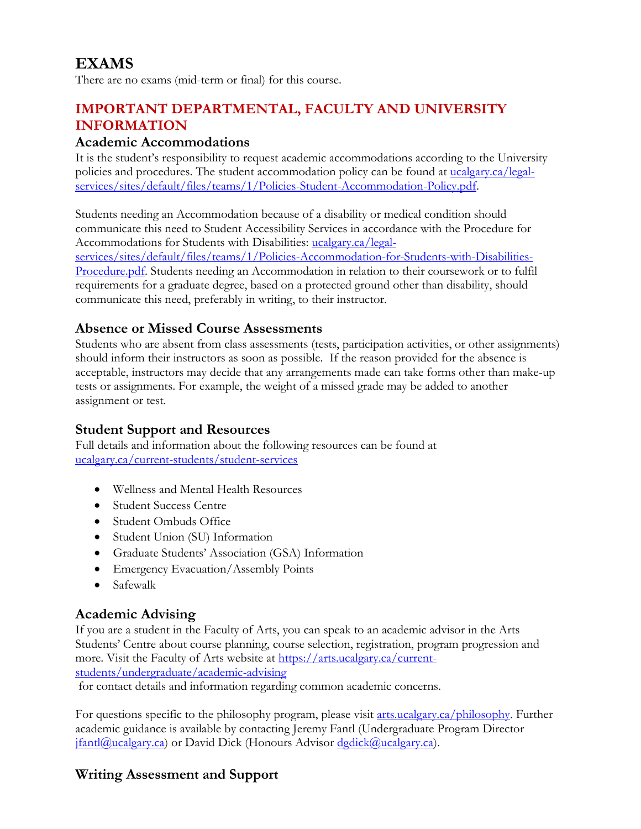# **EXAMS**

There are no exams (mid-term or final) for this course.

### **IMPORTANT DEPARTMENTAL, FACULTY AND UNIVERSITY INFORMATION**

#### **Academic Accommodations**

It is the student's responsibility to request academic accommodations according to the University policies and procedures. The student accommodation policy can be found at [ucalgary.ca/legal](http://www.ucalgary.ca/legal-services/sites/default/files/teams/1/Policies-Student-Accommodation-Policy.pdf)[services/sites/default/files/teams/1/Policies-Student-Accommodation-Policy.pdf.](http://www.ucalgary.ca/legal-services/sites/default/files/teams/1/Policies-Student-Accommodation-Policy.pdf)

Students needing an Accommodation because of a disability or medical condition should communicate this need to Student Accessibility Services in accordance with the Procedure for Accommodations for Students with Disabilities: [ucalgary.ca/legal](https://www.ucalgary.ca/legal-services/sites/default/files/teams/1/Policies-Accommodation-for-Students-with-Disabilities-Procedure.pdf)[services/sites/default/files/teams/1/Policies-Accommodation-for-Students-with-Disabilities-](https://www.ucalgary.ca/legal-services/sites/default/files/teams/1/Policies-Accommodation-for-Students-with-Disabilities-Procedure.pdf)[Procedure.pdf.](https://www.ucalgary.ca/legal-services/sites/default/files/teams/1/Policies-Accommodation-for-Students-with-Disabilities-Procedure.pdf) Students needing an Accommodation in relation to their coursework or to fulfil requirements for a graduate degree, based on a protected ground other than disability, should communicate this need, preferably in writing, to their instructor.

#### **Absence or Missed Course Assessments**

Students who are absent from class assessments (tests, participation activities, or other assignments) should inform their instructors as soon as possible. If the reason provided for the absence is acceptable, instructors may decide that any arrangements made can take forms other than make-up tests or assignments. For example, the weight of a missed grade may be added to another assignment or test.

#### **Student Support and Resources**

Full details and information about the following resources can be found at [ucalgary.ca/current-students/student-services](https://www.ucalgary.ca/current-students/student-services)

- Wellness and Mental Health Resources
- Student Success Centre
- Student Ombuds Office
- Student Union (SU) Information
- Graduate Students' Association (GSA) Information
- Emergency Evacuation/Assembly Points
- Safewalk

### **Academic Advising**

If you are a student in the Faculty of Arts, you can speak to an academic advisor in the Arts Students' Centre about course planning, course selection, registration, program progression and more. Visit the Faculty of Arts website at [https://arts.ucalgary.ca/current](https://arts.ucalgary.ca/current-students/undergraduate/academic-advising)[students/undergraduate/academic-advising](https://arts.ucalgary.ca/current-students/undergraduate/academic-advising)

for contact details and information regarding common academic concerns.

For questions specific to the philosophy program, please visit [arts.ucalgary.ca/philosophy.](file:///C:/Users/btclarke/AppData/Local/Microsoft/Windows/INetCache/Content.Outlook/Q3DSKIFK/arts.ucalgary.ca/philosophy) Further academic guidance is available by contacting Jeremy Fantl (Undergraduate Program Director [jfantl@ucalgary.ca\)](mailto:jfantl@ucalgary.ca) or David Dick (Honours Advisor [dgdick@ucalgary.ca\)](mailto:dgdick@ucalgary.ca).

### **Writing Assessment and Support**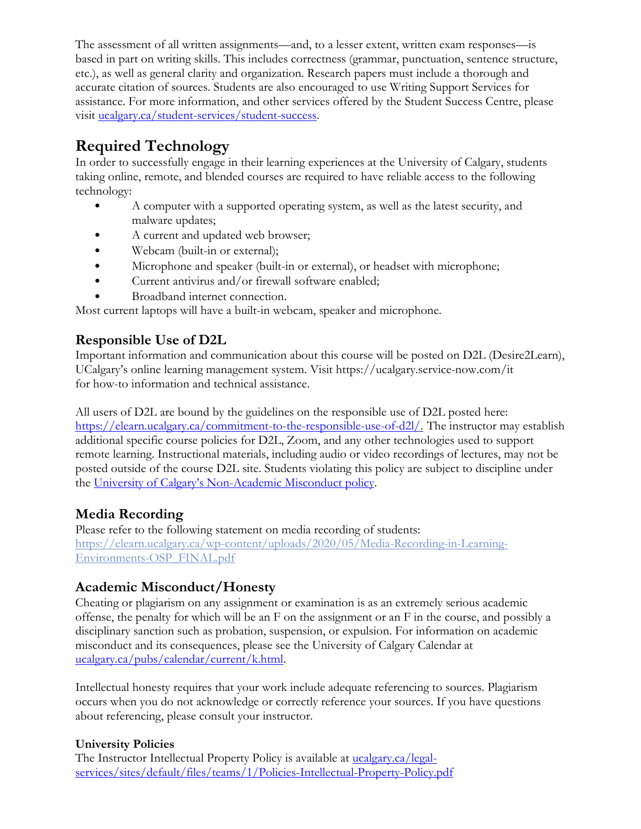The assessment of all written assignments—and, to a lesser extent, written exam responses—is based in part on writing skills. This includes correctness (grammar, punctuation, sentence structure, etc.), as well as general clarity and organization. Research papers must include a thorough and accurate citation of sources. Students are also encouraged to use Writing Support Services for assistance. For more information, and other services offered by the Student Success Centre, please visit [ucalgary.ca/student-services/student-success.](https://ucalgary.ca/student-services/student-success)

# **Required Technology**

In order to successfully engage in their learning experiences at the University of Calgary, students taking online, remote, and blended courses are required to have reliable access to the following technology:

- A computer with a supported operating system, as well as the latest security, and malware updates;
- A current and updated web browser;
- Webcam (built-in or external);
- Microphone and speaker (built-in or external), or headset with microphone;
- Current antivirus and/or firewall software enabled;
- Broadband internet connection.

Most current laptops will have a built-in webcam, speaker and microphone.

### **Responsible Use of D2L**

Important information and communication about this course will be posted on D2L (Desire2Learn), UCalgary's online learning management system. Visit https://ucalgary.service-now.com/it for how-to information and technical assistance.

All users of D2L are bound by the guidelines on the responsible use of D2L posted here: [https://elearn.ucalgary.ca/commitment-to-the-responsible-use-of-d2l/.](https://elearn.ucalgary.ca/commitment-to-the-responsible-use-of-d2l/) The instructor may establish additional specific course policies for D2L, Zoom, and any other technologies used to support remote learning. Instructional materials, including audio or video recordings of lectures, may not be posted outside of the course D2L site. Students violating this policy are subject to discipline under the University of Calgary's Non[-Academic Misconduct policy.](https://www.ucalgary.ca/legal-services/sites/default/files/teams/1/Policies-Student-Non-Academic-Misconduct-Policy.pdf)

### **Media Recording**

Please refer to the following statement on media recording of students: [https://elearn.ucalgary.ca/wp-content/uploads/2020/05/Media-Recording-in-Learning-](https://elearn.ucalgary.ca/wp-content/uploads/2020/05/Media-Recording-in-Learning-Environments-OSP_FINAL.pdf)[Environments-OSP\\_FINAL.pdf](https://elearn.ucalgary.ca/wp-content/uploads/2020/05/Media-Recording-in-Learning-Environments-OSP_FINAL.pdf)

### **Academic Misconduct/Honesty**

Cheating or plagiarism on any assignment or examination is as an extremely serious academic offense, the penalty for which will be an F on the assignment or an F in the course, and possibly a disciplinary sanction such as probation, suspension, or expulsion. For information on academic misconduct and its consequences, please see the University of Calgary Calendar at [ucalgary.ca/pubs/calendar/current/k.html.](https://ucalgary.ca/pubs/calendar/current/k.html)

Intellectual honesty requires that your work include adequate referencing to sources. Plagiarism occurs when you do not acknowledge or correctly reference your sources. If you have questions about referencing, please consult your instructor.

#### **University Policies**

The Instructor Intellectual Property Policy is available at **ucalgary.ca/legal**[services/sites/default/files/teams/1/Policies-Intellectual-Property-Policy.pdf](https://www.ucalgary.ca/legal-services/sites/default/files/teams/1/Policies-Intellectual-Property-Policy.pdf)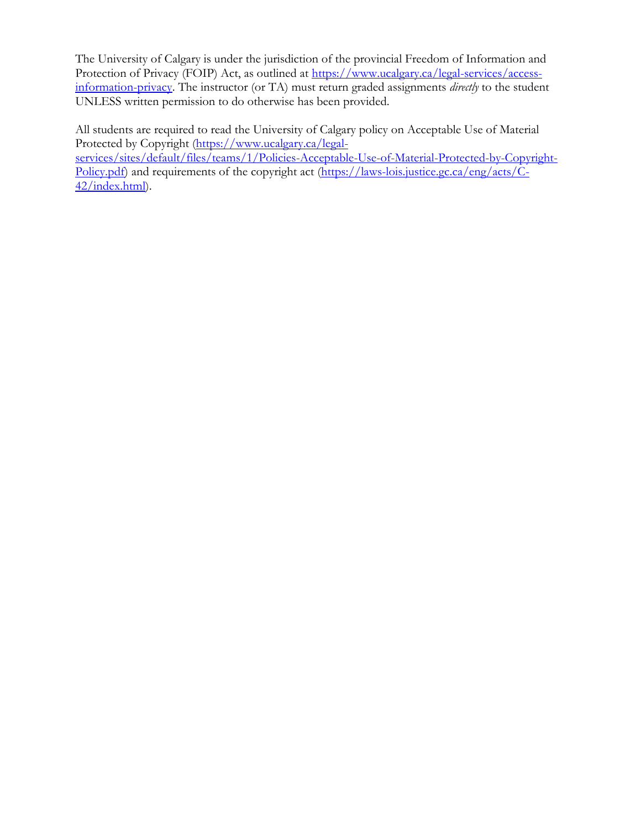The University of Calgary is under the jurisdiction of the provincial Freedom of Information and Protection of Privacy (FOIP) Act, as outlined at [https://www.ucalgary.ca/legal-services/access](https://www.ucalgary.ca/legal-services/access-information-privacy)[information-privacy.](https://www.ucalgary.ca/legal-services/access-information-privacy) The instructor (or TA) must return graded assignments *directly* to the student UNLESS written permission to do otherwise has been provided.

All students are required to read the University of Calgary policy on Acceptable Use of Material Protected by Copyright [\(https://www.ucalgary.ca/legal](https://www.ucalgary.ca/legal-services/sites/default/files/teams/1/Policies-Acceptable-Use-of-Material-Protected-by-Copyright-Policy.pdf)[services/sites/default/files/teams/1/Policies-Acceptable-Use-of-Material-Protected-by-Copyright-](https://www.ucalgary.ca/legal-services/sites/default/files/teams/1/Policies-Acceptable-Use-of-Material-Protected-by-Copyright-Policy.pdf)[Policy.pdf\)](https://www.ucalgary.ca/legal-services/sites/default/files/teams/1/Policies-Acceptable-Use-of-Material-Protected-by-Copyright-Policy.pdf) and requirements of the copyright act [\(https://laws-lois.justice.gc.ca/eng/acts/C-](https://laws-lois.justice.gc.ca/eng/acts/C-42/index.html)[42/index.html\)](https://laws-lois.justice.gc.ca/eng/acts/C-42/index.html).